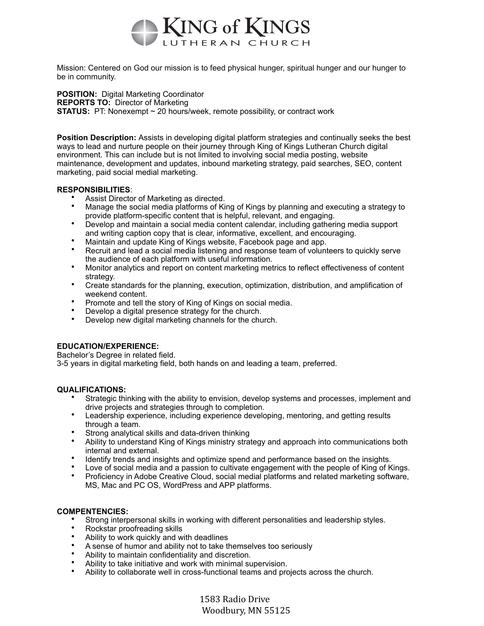

Mission: Centered on God our mission is to feed physical hunger, spiritual hunger and our hunger to be in community.

**POSITION:** Digital Marketing Coordinator

**REPORTS TO:** Director of Marketing

**STATUS:** PT: Nonexempt ~ 20 hours/week, remote possibility, or contract work

**Position Description:** Assists in developing digital platform strategies and continually seeks the best ways to lead and nurture people on their journey through King of Kings Lutheran Church digital environment. This can include but is not limited to involving social media posting, website maintenance, development and updates, inbound marketing strategy, paid searches, SEO, content marketing, paid social medial marketing.

### **RESPONSIBILITIES**:

- Assist Director of Marketing as directed.
- Manage the social media platforms of King of Kings by planning and executing a strategy to provide platform-specific content that is helpful, relevant, and engaging.
- Develop and maintain a social media content calendar, including gathering media support and writing caption copy that is clear, informative, excellent, and encouraging.
- Maintain and update King of Kings website, Facebook page and app.
- Recruit and lead a social media listening and response team of volunteers to quickly serve the audience of each platform with useful information.
- Monitor analytics and report on content marketing metrics to reflect effectiveness of content strategy.
- Create standards for the planning, execution, optimization, distribution, and amplification of weekend content.
- Promote and tell the story of King of Kings on social media.
- Develop a digital presence strategy for the church.
- Develop new digital marketing channels for the church.

# **EDUCATION/EXPERIENCE:**

Bachelor's Degree in related field.

3-5 years in digital marketing field, both hands on and leading a team, preferred.

### **QUALIFICATIONS:**

- Strategic thinking with the ability to envision, develop systems and processes, implement and drive projects and strategies through to completion.
- Leadership experience, including experience developing, mentoring, and getting results through a team.
- Strong analytical skills and data-driven thinking
- Ability to understand King of Kings ministry strategy and approach into communications both internal and external.
- Identify trends and insights and optimize spend and performance based on the insights.
- Love of social media and a passion to cultivate engagement with the people of King of Kings.
- Proficiency in Adobe Creative Cloud, social medial platforms and related marketing software, MS, Mac and PC OS, WordPress and APP platforms.

# **COMPENTENCIES:**

- Strong interpersonal skills in working with different personalities and leadership styles.
- Rockstar proofreading skills
- Ability to work quickly and with deadlines
- A sense of humor and ability not to take themselves too seriously
- Ability to maintain confidentiality and discretion.
- Ability to take initiative and work with minimal supervision.
- Ability to collaborate well in cross-functional teams and projects across the church.

 1583 Radio Drive Woodbury, MN 55125